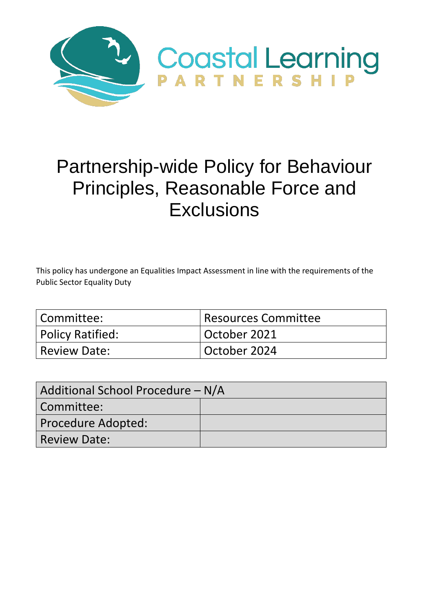

# Partnership-wide Policy for Behaviour Principles, Reasonable Force and **Exclusions**

This policy has undergone an Equalities Impact Assessment in line with the requirements of the Public Sector Equality Duty

| l Committee:     | Resources Committee |
|------------------|---------------------|
| Policy Ratified: | October 2021        |
| Review Date:     | October 2024        |

| Additional School Procedure – N/A |  |  |
|-----------------------------------|--|--|
| Committee:                        |  |  |
| Procedure Adopted:                |  |  |
| <b>Review Date:</b>               |  |  |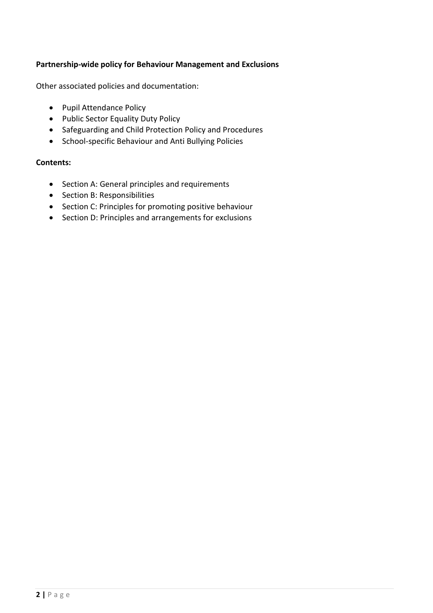# **Partnership-wide policy for Behaviour Management and Exclusions**

Other associated policies and documentation:

- Pupil Attendance Policy
- Public Sector Equality Duty Policy
- Safeguarding and Child Protection Policy and Procedures
- School-specific Behaviour and Anti Bullying Policies

#### **Contents:**

- Section A: General principles and requirements
- Section B: Responsibilities
- Section C: Principles for promoting positive behaviour
- Section D: Principles and arrangements for exclusions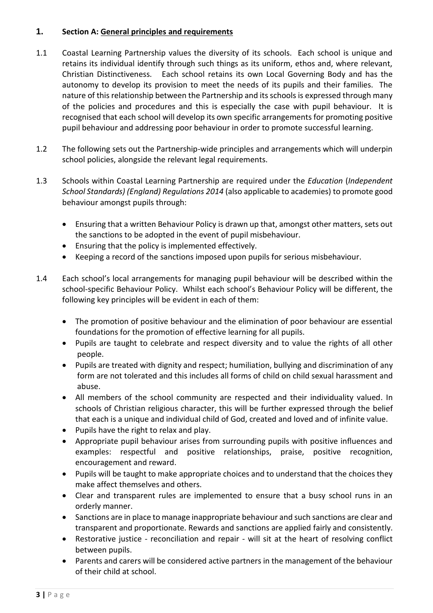# **1. Section A: General principles and requirements**

- 1.1 Coastal Learning Partnership values the diversity of its schools. Each school is unique and retains its individual identify through such things as its uniform, ethos and, where relevant, Christian Distinctiveness. Each school retains its own Local Governing Body and has the autonomy to develop its provision to meet the needs of its pupils and their families. The nature of this relationship between the Partnership and its schools is expressed through many of the policies and procedures and this is especially the case with pupil behaviour. It is recognised that each school will develop its own specific arrangements for promoting positive pupil behaviour and addressing poor behaviour in order to promote successful learning.
- 1.2 The following sets out the Partnership-wide principles and arrangements which will underpin school policies, alongside the relevant legal requirements.
- 1.3 Schools within Coastal Learning Partnership are required under the *Education* (*Independent School Standards) (England) Regulations 2014* (also applicable to academies) to promote good behaviour amongst pupils through:
	- Ensuring that a written Behaviour Policy is drawn up that, amongst other matters, sets out the sanctions to be adopted in the event of pupil misbehaviour.
	- Ensuring that the policy is implemented effectively.
	- Keeping a record of the sanctions imposed upon pupils for serious misbehaviour.
- 1.4 Each school's local arrangements for managing pupil behaviour will be described within the school-specific Behaviour Policy. Whilst each school's Behaviour Policy will be different, the following key principles will be evident in each of them:
	- The promotion of positive behaviour and the elimination of poor behaviour are essential foundations for the promotion of effective learning for all pupils.
	- Pupils are taught to celebrate and respect diversity and to value the rights of all other people.
	- Pupils are treated with dignity and respect; humiliation, bullying and discrimination of any form are not tolerated and this includes all forms of child on child sexual harassment and abuse.
	- All members of the school community are respected and their individuality valued. In schools of Christian religious character, this will be further expressed through the belief that each is a unique and individual child of God, created and loved and of infinite value.
	- Pupils have the right to relax and play.
	- Appropriate pupil behaviour arises from surrounding pupils with positive influences and examples: respectful and positive relationships, praise, positive recognition, encouragement and reward.
	- Pupils will be taught to make appropriate choices and to understand that the choices they make affect themselves and others.
	- Clear and transparent rules are implemented to ensure that a busy school runs in an orderly manner.
	- Sanctions are in place to manage inappropriate behaviour and such sanctions are clear and transparent and proportionate. Rewards and sanctions are applied fairly and consistently.
	- Restorative justice reconciliation and repair will sit at the heart of resolving conflict between pupils.
	- Parents and carers will be considered active partners in the management of the behaviour of their child at school.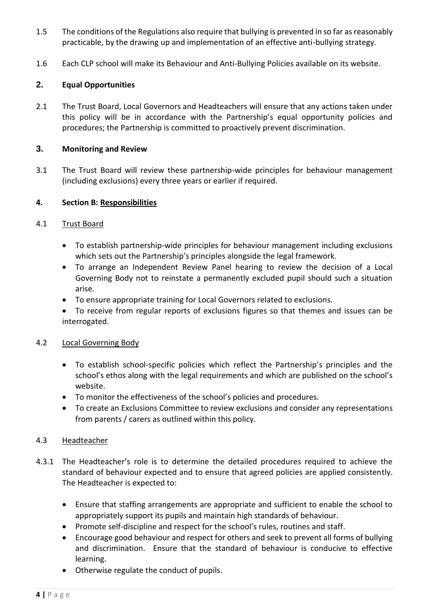- 1.5 The conditions of the Regulations also require that bullying is prevented in so far as reasonably practicable, by the drawing up and implementation of an effective anti-bullying strategy.
- 1.6 Each CLP school will make its Behaviour and Anti-Bullying Policies available on its website.

# **2. Equal Opportunities**

2.1 The Trust Board, Local Governors and Headteachers will ensure that any actions taken under this policy will be in accordance with the Partnership's equal opportunity policies and procedures; the Partnership is committed to proactively prevent discrimination.

# **3. Monitoring and Review**

3.1 The Trust Board will review these partnership-wide principles for behaviour management (including exclusions) every three years or earlier if required.

# **4. Section B: Responsibilities**

## 4.1 Trust Board

- To establish partnership-wide principles for behaviour management including exclusions which sets out the Partnership's principles alongside the legal framework.
- To arrange an Independent Review Panel hearing to review the decision of a Local Governing Body not to reinstate a permanently excluded pupil should such a situation arise.
- To ensure appropriate training for Local Governors related to exclusions.
- To receive from regular reports of exclusions figures so that themes and issues can be interrogated.

## 4.2 Local Governing Body

- To establish school-specific policies which reflect the Partnership's principles and the school's ethos along with the legal requirements and which are published on the school's website.
- To monitor the effectiveness of the school's policies and procedures.
- To create an Exclusions Committee to review exclusions and consider any representations from parents / carers as outlined within this policy.

## 4.3 Headteacher

- 4.3.1 The Headteacher's role is to determine the detailed procedures required to achieve the standard of behaviour expected and to ensure that agreed policies are applied consistently. The Headteacher is expected to:
	- Ensure that staffing arrangements are appropriate and sufficient to enable the school to appropriately support its pupils and maintain high standards of behaviour.
	- Promote self-discipline and respect for the school's rules, routines and staff.
	- Encourage good behaviour and respect for others and seek to prevent all forms of bullying and discrimination. Ensure that the standard of behaviour is conducive to effective learning.
	- Otherwise regulate the conduct of pupils.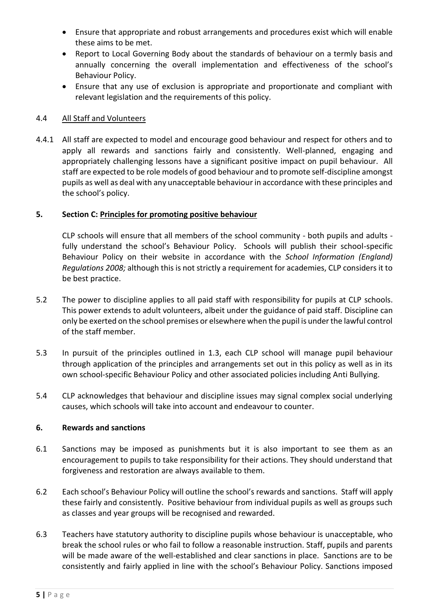- Ensure that appropriate and robust arrangements and procedures exist which will enable these aims to be met.
- Report to Local Governing Body about the standards of behaviour on a termly basis and annually concerning the overall implementation and effectiveness of the school's Behaviour Policy.
- Ensure that any use of exclusion is appropriate and proportionate and compliant with relevant legislation and the requirements of this policy.

# 4.4 All Staff and Volunteers

4.4.1 All staff are expected to model and encourage good behaviour and respect for others and to apply all rewards and sanctions fairly and consistently. Well-planned, engaging and appropriately challenging lessons have a significant positive impact on pupil behaviour. All staff are expected to be role models of good behaviour and to promote self-discipline amongst pupils as well as deal with any unacceptable behaviour in accordance with these principles and the school's policy.

## **5. Section C: Principles for promoting positive behaviour**

CLP schools will ensure that all members of the school community - both pupils and adults fully understand the school's Behaviour Policy. Schools will publish their school-specific Behaviour Policy on their website in accordance with the *School Information (England) Regulations 2008;* although this is not strictly a requirement for academies, CLP considers it to be best practice.

- 5.2 The power to discipline applies to all paid staff with responsibility for pupils at CLP schools. This power extends to adult volunteers, albeit under the guidance of paid staff. Discipline can only be exerted on the school premises or elsewhere when the pupil is under the lawful control of the staff member.
- 5.3 In pursuit of the principles outlined in 1.3, each CLP school will manage pupil behaviour through application of the principles and arrangements set out in this policy as well as in its own school-specific Behaviour Policy and other associated policies including Anti Bullying.
- 5.4 CLP acknowledges that behaviour and discipline issues may signal complex social underlying causes, which schools will take into account and endeavour to counter.

#### **6. Rewards and sanctions**

- 6.1 Sanctions may be imposed as punishments but it is also important to see them as an encouragement to pupils to take responsibility for their actions. They should understand that forgiveness and restoration are always available to them.
- 6.2 Each school's Behaviour Policy will outline the school's rewards and sanctions. Staff will apply these fairly and consistently. Positive behaviour from individual pupils as well as groups such as classes and year groups will be recognised and rewarded.
- 6.3 Teachers have statutory authority to discipline pupils whose behaviour is unacceptable, who break the school rules or who fail to follow a reasonable instruction. Staff, pupils and parents will be made aware of the well-established and clear sanctions in place. Sanctions are to be consistently and fairly applied in line with the school's Behaviour Policy. Sanctions imposed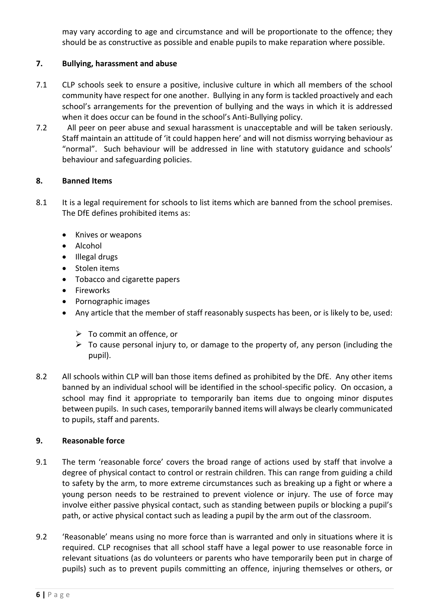may vary according to age and circumstance and will be proportionate to the offence; they should be as constructive as possible and enable pupils to make reparation where possible.

# **7. Bullying, harassment and abuse**

- 7.1 CLP schools seek to ensure a positive, inclusive culture in which all members of the school community have respect for one another. Bullying in any form is tackled proactively and each school's arrangements for the prevention of bullying and the ways in which it is addressed when it does occur can be found in the school's Anti-Bullying policy.
- 7.2 All peer on peer abuse and sexual harassment is unacceptable and will be taken seriously. Staff maintain an attitude of 'it could happen here' and will not dismiss worrying behaviour as "normal". Such behaviour will be addressed in line with statutory guidance and schools' behaviour and safeguarding policies.

## **8. Banned Items**

- 8.1 It is a legal requirement for schools to list items which are banned from the school premises. The DfE defines prohibited items as:
	- Knives or weapons
	- Alcohol
	- Illegal drugs
	- Stolen items
	- Tobacco and cigarette papers
	- **•** Fireworks
	- Pornographic images
	- Any article that the member of staff reasonably suspects has been, or is likely to be, used:
		- $\triangleright$  To commit an offence, or
		- $\triangleright$  To cause personal injury to, or damage to the property of, any person (including the pupil).
- 8.2 All schools within CLP will ban those items defined as prohibited by the DfE. Any other items banned by an individual school will be identified in the school-specific policy. On occasion, a school may find it appropriate to temporarily ban items due to ongoing minor disputes between pupils. In such cases, temporarily banned items will always be clearly communicated to pupils, staff and parents.

## **9. Reasonable force**

- 9.1 The term 'reasonable force' covers the broad range of actions used by staff that involve a degree of physical contact to control or restrain children. This can range from guiding a child to safety by the arm, to more extreme circumstances such as breaking up a fight or where a young person needs to be restrained to prevent violence or injury. The use of force may involve either passive physical contact, such as standing between pupils or blocking a pupil's path, or active physical contact such as leading a pupil by the arm out of the classroom.
- 9.2 'Reasonable' means using no more force than is warranted and only in situations where it is required. CLP recognises that all school staff have a legal power to use reasonable force in relevant situations (as do volunteers or parents who have temporarily been put in charge of pupils) such as to prevent pupils committing an offence, injuring themselves or others, or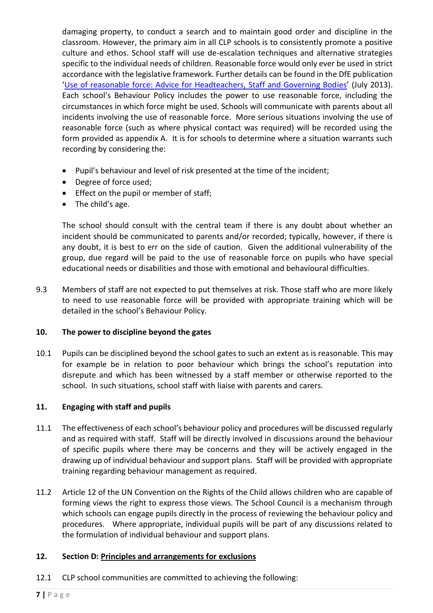damaging property, to conduct a search and to maintain good order and discipline in the classroom. However, the primary aim in all CLP schools is to consistently promote a positive culture and ethos. School staff will use de-escalation techniques and alternative strategies specific to the individual needs of children. Reasonable force would only ever be used in strict accordance with the legislative framework. Further details can be found in the DfE publication '[Use of reasonable force: Advice for Headteachers, Staff and Governing Bodies](https://assets.publishing.service.gov.uk/government/uploads/system/uploads/attachment_data/file/444051/Use_of_reasonable_force_advice_Reviewed_July_2015.pdf)' (July 2013). Each school's Behaviour Policy includes the power to use reasonable force, including the circumstances in which force might be used. Schools will communicate with parents about all incidents involving the use of reasonable force. More serious situations involving the use of reasonable force (such as where physical contact was required) will be recorded using the form provided as appendix A. It is for schools to determine where a situation warrants such recording by considering the:

- Pupil's behaviour and level of risk presented at the time of the incident;
- Degree of force used;
- **•** Effect on the pupil or member of staff;
- The child's age.

The school should consult with the central team if there is any doubt about whether an incident should be communicated to parents and/or recorded; typically, however, if there is any doubt, it is best to err on the side of caution. Given the additional vulnerability of the group, due regard will be paid to the use of reasonable force on pupils who have special educational needs or disabilities and those with emotional and behavioural difficulties.

9.3 Members of staff are not expected to put themselves at risk. Those staff who are more likely to need to use reasonable force will be provided with appropriate training which will be detailed in the school's Behaviour Policy.

#### **10. The power to discipline beyond the gates**

10.1 Pupils can be disciplined beyond the school gates to such an extent as is reasonable. This may for example be in relation to poor behaviour which brings the school's reputation into disrepute and which has been witnessed by a staff member or otherwise reported to the school. In such situations, school staff with liaise with parents and carers.

#### **11. Engaging with staff and pupils**

- 11.1 The effectiveness of each school's behaviour policy and procedures will be discussed regularly and as required with staff. Staff will be directly involved in discussions around the behaviour of specific pupils where there may be concerns and they will be actively engaged in the drawing up of individual behaviour and support plans. Staff will be provided with appropriate training regarding behaviour management as required.
- 11.2 Article 12 of the UN Convention on the Rights of the Child allows children who are capable of forming views the right to express those views. The School Council is a mechanism through which schools can engage pupils directly in the process of reviewing the behaviour policy and procedures. Where appropriate, individual pupils will be part of any discussions related to the formulation of individual behaviour and support plans.

#### **12. Section D: Principles and arrangements for exclusions**

12.1 CLP school communities are committed to achieving the following: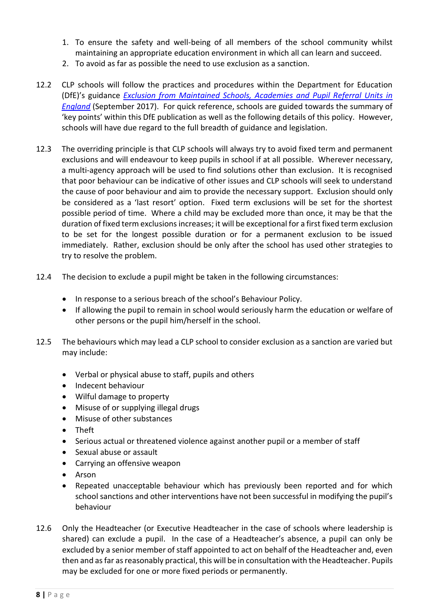- 1. To ensure the safety and well-being of all members of the school community whilst maintaining an appropriate education environment in which all can learn and succeed.
- 2. To avoid as far as possible the need to use exclusion as a sanction.
- 12.2 CLP schools will follow the practices and procedures within the Department for Education (DfE)'s guidance *[Exclusion from Maintained Schools, Academies and Pupil Referral Units in](https://www.gov.uk/government/publications/school-exclusion)  [England](https://www.gov.uk/government/publications/school-exclusion)* (September 2017). For quick reference, schools are guided towards the summary of 'key points' within this DfE publication as well as the following details of this policy. However, schools will have due regard to the full breadth of guidance and legislation.
- 12.3 The overriding principle is that CLP schools will always try to avoid fixed term and permanent exclusions and will endeavour to keep pupils in school if at all possible. Wherever necessary, a multi-agency approach will be used to find solutions other than exclusion. It is recognised that poor behaviour can be indicative of other issues and CLP schools will seek to understand the cause of poor behaviour and aim to provide the necessary support. Exclusion should only be considered as a 'last resort' option. Fixed term exclusions will be set for the shortest possible period of time. Where a child may be excluded more than once, it may be that the duration of fixed term exclusions increases; it will be exceptional for a first fixed term exclusion to be set for the longest possible duration or for a permanent exclusion to be issued immediately. Rather, exclusion should be only after the school has used other strategies to try to resolve the problem.
- 12.4 The decision to exclude a pupil might be taken in the following circumstances:
	- In response to a serious breach of the school's Behaviour Policy.
	- If allowing the pupil to remain in school would seriously harm the education or welfare of other persons or the pupil him/herself in the school.
- 12.5 The behaviours which may lead a CLP school to consider exclusion as a sanction are varied but may include:
	- Verbal or physical abuse to staff, pupils and others
	- Indecent behaviour
	- Wilful damage to property
	- Misuse of or supplying illegal drugs
	- Misuse of other substances
	- Theft
	- Serious actual or threatened violence against another pupil or a member of staff
	- Sexual abuse or assault
	- Carrying an offensive weapon
	- Arson
	- Repeated unacceptable behaviour which has previously been reported and for which school sanctions and other interventions have not been successful in modifying the pupil's behaviour
- 12.6 Only the Headteacher (or Executive Headteacher in the case of schools where leadership is shared) can exclude a pupil. In the case of a Headteacher's absence, a pupil can only be excluded by a senior member of staff appointed to act on behalf of the Headteacher and, even then and as far as reasonably practical, this will be in consultation with the Headteacher. Pupils may be excluded for one or more fixed periods or permanently.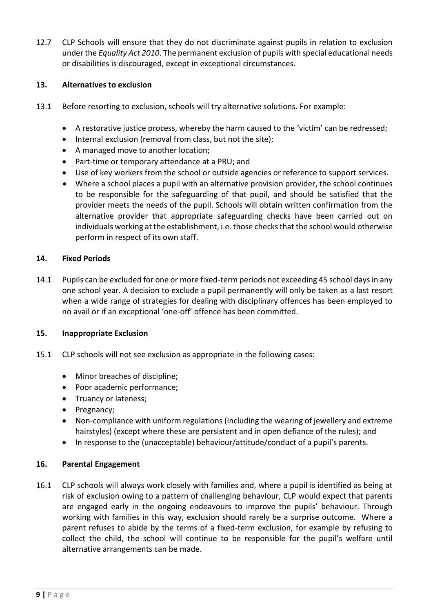12.7 CLP Schools will ensure that they do not discriminate against pupils in relation to exclusion under the *Equality Act 2010*. The permanent exclusion of pupils with special educational needs or disabilities is discouraged, except in exceptional circumstances.

#### **13. Alternatives to exclusion**

- 13.1 Before resorting to exclusion, schools will try alternative solutions. For example:
	- A restorative justice process, whereby the harm caused to the 'victim' can be redressed;
	- Internal exclusion (removal from class, but not the site);
	- A managed move to another location;
	- Part-time or temporary attendance at a PRU; and
	- Use of key workers from the school or outside agencies or reference to support services.
	- Where a school places a pupil with an alternative provision provider, the school continues to be responsible for the safeguarding of that pupil, and should be satisfied that the provider meets the needs of the pupil. Schools will obtain written confirmation from the alternative provider that appropriate safeguarding checks have been carried out on individuals working at the establishment, i.e. those checks that the school would otherwise perform in respect of its own staff.

#### **14. Fixed Periods**

14.1 Pupils can be excluded for one or more fixed-term periods not exceeding 45 school days in any one school year. A decision to exclude a pupil permanently will only be taken as a last resort when a wide range of strategies for dealing with disciplinary offences has been employed to no avail or if an exceptional 'one-off' offence has been committed.

#### **15. Inappropriate Exclusion**

- 15.1 CLP schools will not see exclusion as appropriate in the following cases:
	- Minor breaches of discipline;
	- Poor academic performance;
	- Truancy or lateness;
	- Pregnancy;
	- Non-compliance with uniform regulations (including the wearing of jewellery and extreme hairstyles) (except where these are persistent and in open defiance of the rules); and
	- In response to the (unacceptable) behaviour/attitude/conduct of a pupil's parents.

#### **16. Parental Engagement**

16.1 CLP schools will always work closely with families and, where a pupil is identified as being at risk of exclusion owing to a pattern of challenging behaviour, CLP would expect that parents are engaged early in the ongoing endeavours to improve the pupils' behaviour. Through working with families in this way, exclusion should rarely be a surprise outcome. Where a parent refuses to abide by the terms of a fixed-term exclusion, for example by refusing to collect the child, the school will continue to be responsible for the pupil's welfare until alternative arrangements can be made.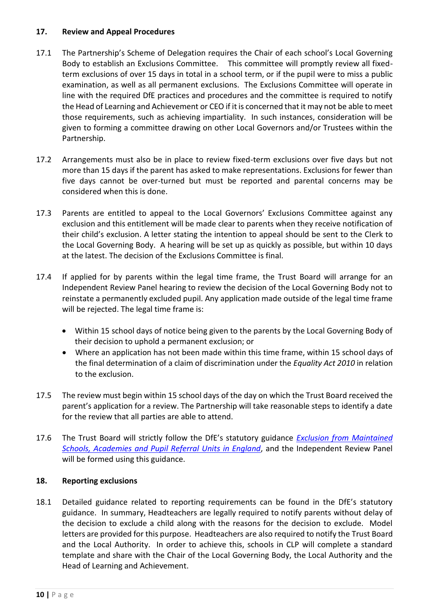#### **17. Review and Appeal Procedures**

- 17.1 The Partnership's Scheme of Delegation requires the Chair of each school's Local Governing Body to establish an Exclusions Committee. This committee will promptly review all fixedterm exclusions of over 15 days in total in a school term, or if the pupil were to miss a public examination, as well as all permanent exclusions. The Exclusions Committee will operate in line with the required DfE practices and procedures and the committee is required to notify the Head of Learning and Achievement or CEO if it is concerned that it may not be able to meet those requirements, such as achieving impartiality. In such instances, consideration will be given to forming a committee drawing on other Local Governors and/or Trustees within the Partnership.
- 17.2 Arrangements must also be in place to review fixed-term exclusions over five days but not more than 15 days if the parent has asked to make representations. Exclusions for fewer than five days cannot be over-turned but must be reported and parental concerns may be considered when this is done.
- 17.3 Parents are entitled to appeal to the Local Governors' Exclusions Committee against any exclusion and this entitlement will be made clear to parents when they receive notification of their child's exclusion. A letter stating the intention to appeal should be sent to the Clerk to the Local Governing Body.A hearing will be set up as quickly as possible, but within 10 days at the latest. The decision of the Exclusions Committee is final.
- 17.4 If applied for by parents within the legal time frame, the Trust Board will arrange for an Independent Review Panel hearing to review the decision of the Local Governing Body not to reinstate a permanently excluded pupil. Any application made outside of the legal time frame will be rejected. The legal time frame is:
	- Within 15 school days of notice being given to the parents by the Local Governing Body of their decision to uphold a permanent exclusion; or
	- Where an application has not been made within this time frame, within 15 school days of the final determination of a claim of discrimination under the *Equality Act 2010* in relation to the exclusion.
- 17.5 The review must begin within 15 school days of the day on which the Trust Board received the parent's application for a review. The Partnership will take reasonable steps to identify a date for the review that all parties are able to attend.
- 17.6 The Trust Board will strictly follow the DfE's statutory guidance *[Exclusion from Maintained](https://www.gov.uk/government/publications/school-exclusion)  [Schools, Academies and Pupil Referral Units in England](https://www.gov.uk/government/publications/school-exclusion)*, and the Independent Review Panel will be formed using this guidance.

## **18. Reporting exclusions**

18.1 Detailed guidance related to reporting requirements can be found in the DfE's statutory guidance. In summary, Headteachers are legally required to notify parents without delay of the decision to exclude a child along with the reasons for the decision to exclude. Model letters are provided for this purpose. Headteachers are also required to notify the Trust Board and the Local Authority. In order to achieve this, schools in CLP will complete a standard template and share with the Chair of the Local Governing Body, the Local Authority and the Head of Learning and Achievement.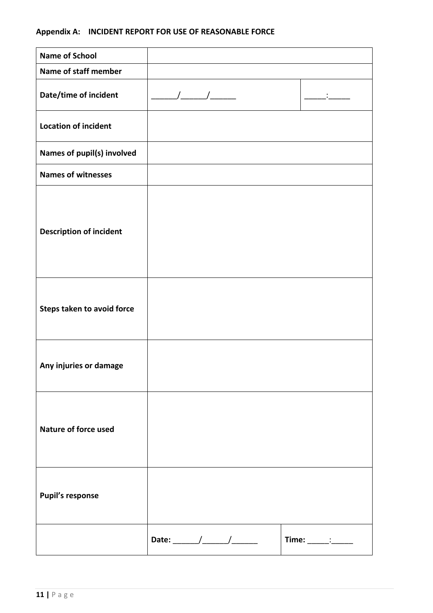# **Appendix A: INCIDENT REPORT FOR USE OF REASONABLE FORCE**

| <b>Name of School</b>          |                             |                       |
|--------------------------------|-----------------------------|-----------------------|
| Name of staff member           |                             |                       |
| Date/time of incident          | $\frac{1}{2}$ $\frac{1}{2}$ |                       |
| <b>Location of incident</b>    |                             |                       |
| Names of pupil(s) involved     |                             |                       |
| <b>Names of witnesses</b>      |                             |                       |
| <b>Description of incident</b> |                             |                       |
| Steps taken to avoid force     |                             |                       |
| Any injuries or damage         |                             |                       |
| <b>Nature of force used</b>    |                             |                       |
| <b>Pupil's response</b>        |                             |                       |
|                                |                             | $Time:$ $\frac{1}{2}$ |